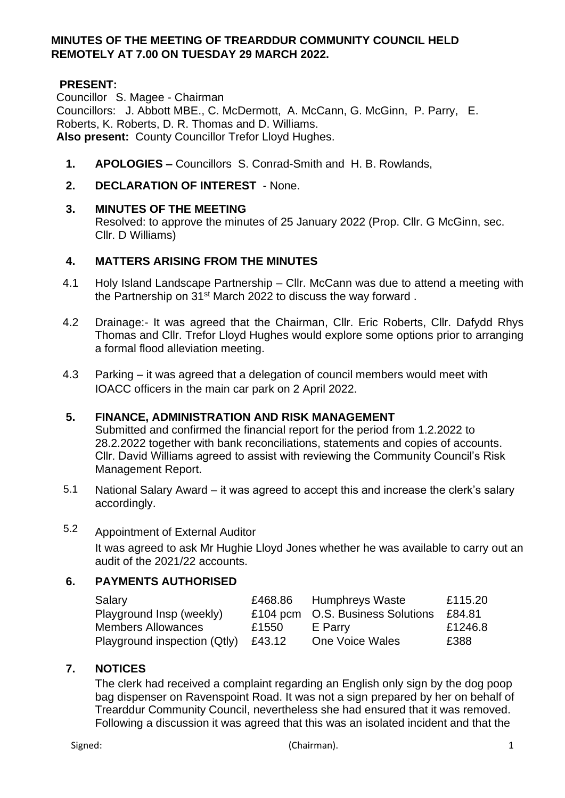### **MINUTES OF THE MEETING OF TREARDDUR COMMUNITY COUNCIL HELD REMOTELY AT 7.00 ON TUESDAY 29 MARCH 2022.**

# **PRESENT:**

Councillor S. Magee - Chairman Councillors: J. Abbott MBE., C. McDermott, A. McCann, G. McGinn, P. Parry, E. Roberts, K. Roberts, D. R. Thomas and D. Williams. **Also present:** County Councillor Trefor Lloyd Hughes.

- **1. APOLOGIES –** Councillors S. Conrad-Smith and H. B. Rowlands,
- **2. DECLARATION OF INTEREST**  None.

### **3. MINUTES OF THE MEETING**

Resolved: to approve the minutes of 25 January 2022 (Prop. Cllr. G McGinn, sec. Cllr. D Williams)

### **4. MATTERS ARISING FROM THE MINUTES**

- 4.1 Holy Island Landscape Partnership Cllr. McCann was due to attend a meeting with the Partnership on 31<sup>st</sup> March 2022 to discuss the way forward.
- 4.2 Drainage:- It was agreed that the Chairman, Cllr. Eric Roberts, Cllr. Dafydd Rhys Thomas and Cllr. Trefor Lloyd Hughes would explore some options prior to arranging a formal flood alleviation meeting.
- 4.3 Parking it was agreed that a delegation of council members would meet with IOACC officers in the main car park on 2 April 2022.

### **5. FINANCE, ADMINISTRATION AND RISK MANAGEMENT**

Submitted and confirmed the financial report for the period from 1.2.2022 to 28.2.2022 together with bank reconciliations, statements and copies of accounts. Cllr. David Williams agreed to assist with reviewing the Community Council's Risk Management Report.

5.1 National Salary Award – it was agreed to accept this and increase the clerk's salary accordingly.

# 5.2 Appointment of External Auditor

It was agreed to ask Mr Hughie Lloyd Jones whether he was available to carry out an audit of the 2021/22 accounts.

### **6. PAYMENTS AUTHORISED**

| Salary                       | £468.86 | Humphreys Waste                  | £115.20 |
|------------------------------|---------|----------------------------------|---------|
| Playground Insp (weekly)     |         | £104 pcm O.S. Business Solutions | £84.81  |
| <b>Members Allowances</b>    | £1550   | E Parry                          | £1246.8 |
| Playground inspection (Qtly) | £43.12  | One Voice Wales                  | £388    |

## **7. NOTICES**

The clerk had received a complaint regarding an English only sign by the dog poop bag dispenser on Ravenspoint Road. It was not a sign prepared by her on behalf of Trearddur Community Council, nevertheless she had ensured that it was removed. Following a discussion it was agreed that this was an isolated incident and that the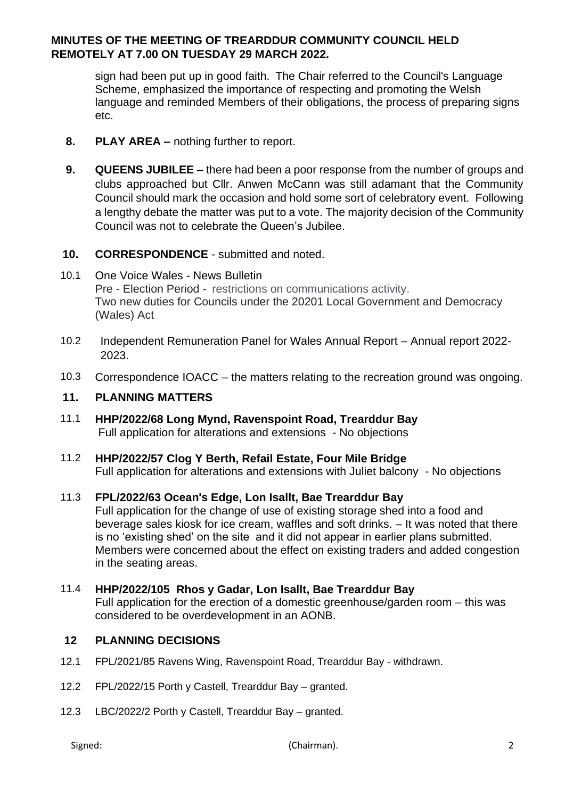## **MINUTES OF THE MEETING OF TREARDDUR COMMUNITY COUNCIL HELD REMOTELY AT 7.00 ON TUESDAY 29 MARCH 2022.**

sign had been put up in good faith. The Chair referred to the Council's Language Scheme, emphasized the importance of respecting and promoting the Welsh language and reminded Members of their obligations, the process of preparing signs etc.

- **8. PLAY AREA –** nothing further to report.
- **9. QUEENS JUBILEE –** there had been a poor response from the number of groups and clubs approached but Cllr. Anwen McCann was still adamant that the Community Council should mark the occasion and hold some sort of celebratory event. Following a lengthy debate the matter was put to a vote. The majority decision of the Community Council was not to celebrate the Queen's Jubilee.

### **10. CORRESPONDENCE** - submitted and noted.

- 10.1 One Voice Wales News Bulletin Pre - Election Period - restrictions on communications activity. Two new duties for Councils under the 20201 Local Government and Democracy (Wales) Act
- 10.2 Independent Remuneration Panel for Wales Annual Report Annual report 2022- 2023.
- 10.3 Correspondence IOACC the matters relating to the recreation ground was ongoing.

### **11. PLANNING MATTERS**

- 11.1 **HHP/2022/68 Long Mynd, Ravenspoint Road, Trearddur Bay**  Full application for alterations and extensions - No objections
- 11.2 **HHP/2022/57 Clog Y Berth, Refail Estate, Four Mile Bridge** Full application for alterations and extensions with Juliet balcony - No objections

### 11.3 **FPL/2022/63 Ocean's Edge, Lon Isallt, Bae Trearddur Bay**

Full application for the change of use of existing storage shed into a food and beverage sales kiosk for ice cream, waffles and soft drinks. – It was noted that there is no 'existing shed' on the site and it did not appear in earlier plans submitted. Members were concerned about the effect on existing traders and added congestion in the seating areas.

### 11.4 **HHP/2022/105 Rhos y Gadar, Lon Isallt, Bae Trearddur Bay**

Full application for the erection of a domestic greenhouse/garden room – this was considered to be overdevelopment in an AONB.

### **12 PLANNING DECISIONS**

- 12.1 FPL/2021/85 Ravens Wing, Ravenspoint Road, Trearddur Bay withdrawn.
- 12.2 FPL/2022/15 Porth y Castell, Trearddur Bay granted.
- 12.3 LBC/2022/2 Porth y Castell, Trearddur Bay granted.